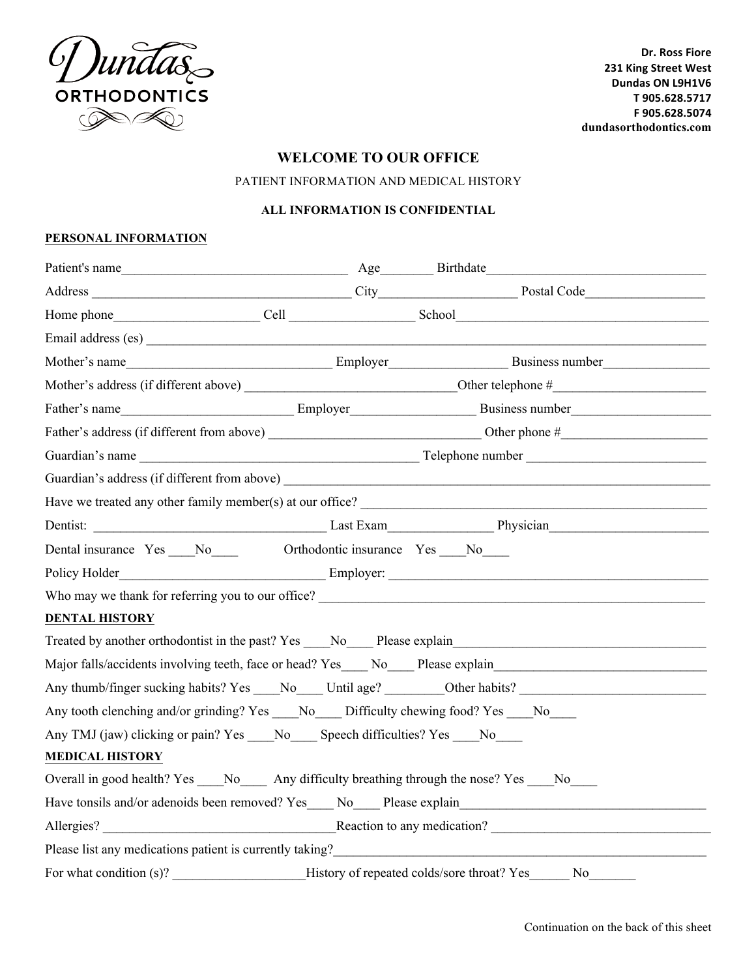

Dr. Ross Fiore **231 King Street West Dundas ON L9H1V6 T 905.628.5717 F 905.628.5074 dundasorthodontics.com**

# **WELCOME TO OUR OFFICE**

PATIENT INFORMATION AND MEDICAL HISTORY

#### **ALL INFORMATION IS CONFIDENTIAL**

#### **PERSONAL INFORMATION**

| Email address (es)                                                                      |                                            |                                                                                                                |
|-----------------------------------------------------------------------------------------|--------------------------------------------|----------------------------------------------------------------------------------------------------------------|
|                                                                                         |                                            |                                                                                                                |
|                                                                                         |                                            |                                                                                                                |
| Father's name                                                                           |                                            | Employer Business number                                                                                       |
|                                                                                         |                                            |                                                                                                                |
|                                                                                         |                                            |                                                                                                                |
|                                                                                         |                                            |                                                                                                                |
|                                                                                         |                                            |                                                                                                                |
|                                                                                         |                                            |                                                                                                                |
| Dental insurance Yes ___No_____ Orthodontic insurance Yes ___No____                     |                                            |                                                                                                                |
|                                                                                         |                                            |                                                                                                                |
|                                                                                         |                                            |                                                                                                                |
| <b>DENTAL HISTORY</b>                                                                   |                                            |                                                                                                                |
|                                                                                         |                                            | Treated by another orthodontist in the past? Yes No Please explain                                             |
|                                                                                         |                                            |                                                                                                                |
|                                                                                         |                                            | Any thumb/finger sucking habits? Yes ____No_____ Until age? _________Other habits? ___________________________ |
| Any tooth clenching and/or grinding? Yes ___No___ Difficulty chewing food? Yes ___No___ |                                            |                                                                                                                |
| Any TMJ (jaw) clicking or pain? Yes No Speech difficulties? Yes No                      |                                            |                                                                                                                |
| <b>MEDICAL HISTORY</b>                                                                  |                                            |                                                                                                                |
| Overall in good health? Yes No Any difficulty breathing through the nose? Yes No        |                                            |                                                                                                                |
|                                                                                         |                                            |                                                                                                                |
|                                                                                         |                                            | Allergies? Reaction to any medication?                                                                         |
| Please list any medications patient is currently taking?                                |                                            |                                                                                                                |
| For what condition (s)?                                                                 | History of repeated colds/sore throat? Yes | N <sub>o</sub>                                                                                                 |